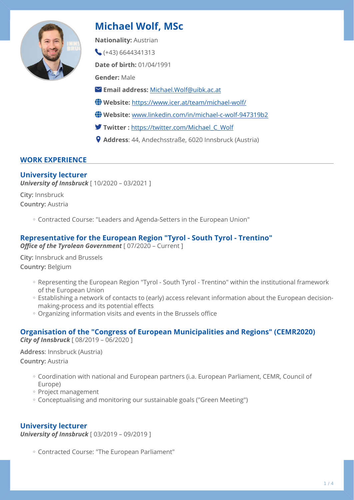

# **Michael Wolf, MSc**

**Nationality:** Austrian

 $(+43)$  6644341313

**Date of birth:** 01/04/1991

**Gender:** Male

- **Email address:** [Michael.Wolf@uibk.ac.at](mailto:Michael.Wolf@uibk.ac.at)
- **Website:** <https://www.icer.at/team/michael-wolf/>
- **Website:** [www.linkedin.com/in/michael-c-wolf-947319b2](http://www.linkedin.com/in/michael-c-wolf-947319b2)
- **Twitter :** [https://twitter.com/Michael\\_C\\_Wolf](https://twitter.com/Michael_C_Wolf)
- **Address**: 44, Andechsstraße, 6020 Innsbruck (Austria)

## **WORK EXPERIENCE**

## **University lecturer**

*University of Innsbruck* [ 10/2020 – 03/2021 ]

**City:** Innsbruck **Country:** Austria

Contracted Course: "Leaders and Agenda-Setters in the European Union" ◦

## **Representative for the European Region "Tyrol - South Tyrol - Trentino"**

*Office of the Tyrolean Government* [ 07/2020 – Current ]

**City:** Innsbruck and Brussels **Country:** Belgium

- Representing the European Region "Tyrol South Tyrol Trentino" within the institutional framework of the European Union
- Establishing a network of contacts to (early) access relevant information about the European decisionmaking-process and its potential effects
- Organizing information visits and events in the Brussels office ◦

#### **Organisation of the "Congress of European Municipalities and Regions" (CEMR2020)**  *City of Innsbruck* [ 08/2019 – 06/2020 ]

**Address**: Innsbruck (Austria)

## **Country:** Austria

- Coordination with national and European partners (i.a. European Parliament, CEMR, Council of Europe)
- Project management ◦
- Conceptualising and monitoring our sustainable goals ("Green Meeting")

## **University lecturer**

*University of Innsbruck* [ 03/2019 – 09/2019 ]

Contracted Course: "The European Parliament" ◦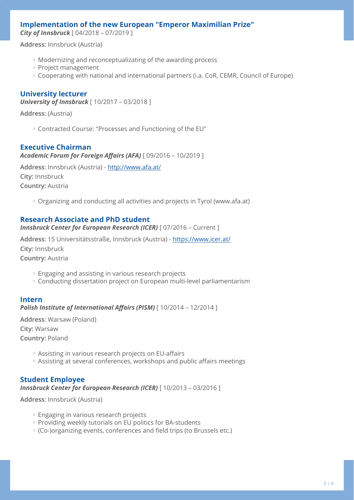## **Implementation of the new European "Emperor Maximilian Prize"**

*City of Innsbruck* [ 04/2018 – 07/2019 ]

**Address**: Innsbruck (Austria)

- Modernizing and reconceptualizating of the awarding process ◦
- Project management ◦
- Cooperating with national and international partners (i.a. CoR, CEMR, Council of Europe)

## **University lecturer**

*University of Innsbruck* [ 10/2017 – 03/2018 ]

**Address**: (Austria)

Contracted Course: "Processes and Functioning of the EU" ◦

#### **Executive Chairman**

*Academic Forum for Foreign Affairs (AFA)* [ 09/2016 – 10/2019 ]

**Address**: Innsbruck (Austria) -<http://www.afa.at/> **City:** Innsbruck **Country:** Austria

◦ Organizing and conducting all activities and projects in Tyrol (www.afa.at)

## **Research Associate and PhD student**

**Innsbruck Center for European Research (ICER)** [ 07/2016 - Current ]

**Address**: 15 Universitätsstraße, Innsbruck (Austria) - <https://www.icer.at/> **City:** Innsbruck

**Country:** Austria

- Engaging and assisting in various research projects ◦
- Conducting dissertation project on European multi-level parliamentarism ◦

#### **Intern**

*Polish Institute of International Affairs (PISM)* [ 10/2014 – 12/2014 ]

**Address**: Warsaw (Poland) **City:** Warsaw **Country:** Poland

- Assisting in various research projects on EU-affairs ◦
- Assisting at several conferences, workshops and public affairs meetings ◦

#### **Student Employee**  *Innsbruck Center for European Research (ICER)* [ 10/2013 – 03/2016 ]

**Address**: Innsbruck (Austria)

- Engaging in various research projects
- Providing weekly tutorials on EU politics for BA-students
- (Co-)organizing events, conferences and field trips (to Brussels etc.) ◦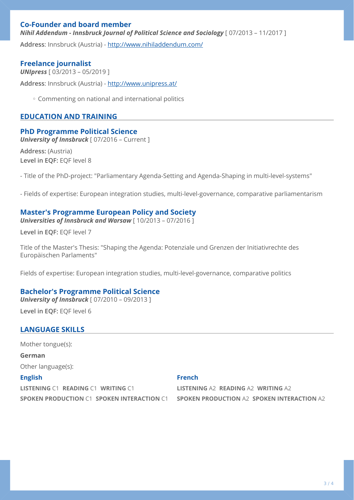## **Co-Founder and board member**  *Nihil Addendum - Innsbruck Journal of Political Science and Sociology* [ 07/2013 – 11/2017 ]

**Address**: Innsbruck (Austria) -<http://www.nihiladdendum.com/>

## **Freelance journalist**

*UNIpress* [ 03/2013 – 05/2019 ] **Address**: Innsbruck (Austria) -<http://www.unipress.at/>

Commenting on national and international politics ◦

## **EDUCATION AND TRAINING**

## **PhD Programme Political Science**

**University of Innsbruck** [ 07/2016 – Current ]

**Address:** (Austria) **Level in EQF:** EQF level 8

- Title of the PhD-project: "Parliamentary Agenda-Setting and Agenda-Shaping in multi-level-systems"

- Fields of expertise: European integration studies, multi-level-governance, comparative parliamentarism

## **Master's Programme European Policy and Society**

*Universities of Innsbruck and Warsaw* [ 10/2013 – 07/2016 ]

**Level in EQF:** EQF level 7

Title of the Master's Thesis: "Shaping the Agenda: Potenziale und Grenzen der Initiativrechte des Europäischen Parlaments"

Fields of expertise: European integration studies, multi-level-governance, comparative politics

## **Bachelor's Programme Political Science**

*University of Innsbruck* [ 07/2010 – 09/2013 ]

**Level in EQF:** EQF level 6

## **LANGUAGE SKILLS**

Mother tongue(s):

**German**

Other language(s):

#### **English**

**LISTENING** C1 **READING** C1 **WRITING** C1 **SPOKEN PRODUCTION** C1 **SPOKEN INTERACTION** C1 **SPOKEN PRODUCTION** A2 **SPOKEN INTERACTION** A2

#### **French**

**LISTENING** A2 **READING** A2 **WRITING** A2